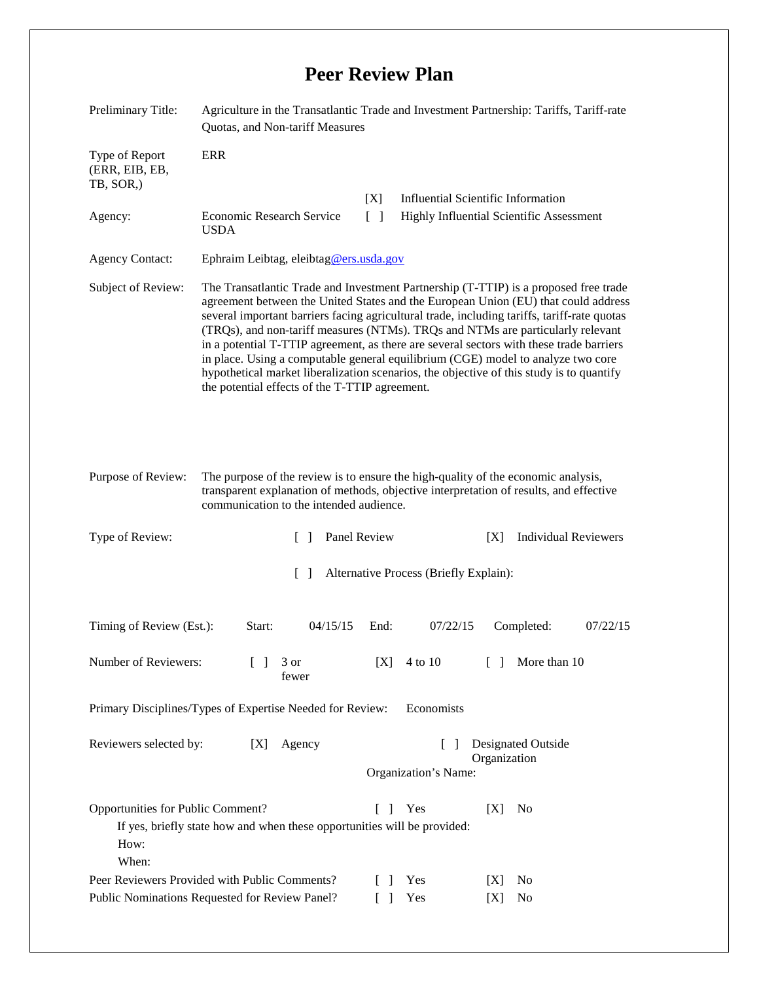## **Peer Review Plan**

| Preliminary Title:                                                                              | Agriculture in the Transatlantic Trade and Investment Partnership: Tariffs, Tariff-rate<br>Quotas, and Non-tariff Measures                                                                                                                                                                                                                                                                                                                                                                                                                                                                                                                                                                |                                                                          |                                                                             |            |           |                                    |          |  |
|-------------------------------------------------------------------------------------------------|-------------------------------------------------------------------------------------------------------------------------------------------------------------------------------------------------------------------------------------------------------------------------------------------------------------------------------------------------------------------------------------------------------------------------------------------------------------------------------------------------------------------------------------------------------------------------------------------------------------------------------------------------------------------------------------------|--------------------------------------------------------------------------|-----------------------------------------------------------------------------|------------|-----------|------------------------------------|----------|--|
| Type of Report<br>(ERR, EIB, EB,<br>TB, SOR,)                                                   | <b>ERR</b>                                                                                                                                                                                                                                                                                                                                                                                                                                                                                                                                                                                                                                                                                |                                                                          |                                                                             |            |           |                                    |          |  |
|                                                                                                 |                                                                                                                                                                                                                                                                                                                                                                                                                                                                                                                                                                                                                                                                                           |                                                                          | <b>Influential Scientific Information</b><br>[X]                            |            |           |                                    |          |  |
| Agency:                                                                                         | <b>Economic Research Service</b><br><b>USDA</b>                                                                                                                                                                                                                                                                                                                                                                                                                                                                                                                                                                                                                                           | $\lceil \; \rceil$<br>Highly Influential Scientific Assessment           |                                                                             |            |           |                                    |          |  |
| <b>Agency Contact:</b>                                                                          | Ephraim Leibtag, eleibtag@ers.usda.gov                                                                                                                                                                                                                                                                                                                                                                                                                                                                                                                                                                                                                                                    |                                                                          |                                                                             |            |           |                                    |          |  |
| Subject of Review:                                                                              | The Transatlantic Trade and Investment Partnership (T-TTIP) is a proposed free trade<br>agreement between the United States and the European Union (EU) that could address<br>several important barriers facing agricultural trade, including tariffs, tariff-rate quotas<br>(TRQs), and non-tariff measures (NTMs). TRQs and NTMs are particularly relevant<br>in a potential T-TTIP agreement, as there are several sectors with these trade barriers<br>in place. Using a computable general equilibrium (CGE) model to analyze two core<br>hypothetical market liberalization scenarios, the objective of this study is to quantify<br>the potential effects of the T-TTIP agreement. |                                                                          |                                                                             |            |           |                                    |          |  |
| Purpose of Review:                                                                              | The purpose of the review is to ensure the high-quality of the economic analysis,<br>transparent explanation of methods, objective interpretation of results, and effective<br>communication to the intended audience.                                                                                                                                                                                                                                                                                                                                                                                                                                                                    |                                                                          |                                                                             |            |           |                                    |          |  |
| Type of Review:                                                                                 |                                                                                                                                                                                                                                                                                                                                                                                                                                                                                                                                                                                                                                                                                           | Panel Review<br>$\mathbf{I}$                                             |                                                                             |            |           | <b>Individual Reviewers</b><br>[X] |          |  |
| Alternative Process (Briefly Explain):<br>$\Box$                                                |                                                                                                                                                                                                                                                                                                                                                                                                                                                                                                                                                                                                                                                                                           |                                                                          |                                                                             |            |           |                                    |          |  |
| Timing of Review (Est.):                                                                        | Start:                                                                                                                                                                                                                                                                                                                                                                                                                                                                                                                                                                                                                                                                                    | 04/15/15                                                                 | End:                                                                        | 07/22/15   |           | Completed:                         | 07/22/15 |  |
| Number of Reviewers:<br>$\mathbf{L}$                                                            |                                                                                                                                                                                                                                                                                                                                                                                                                                                                                                                                                                                                                                                                                           | 3 or<br>fewer                                                            | [X]                                                                         | 4 to 10    |           | [ ] More than 10                   |          |  |
| Primary Disciplines/Types of Expertise Needed for Review:                                       |                                                                                                                                                                                                                                                                                                                                                                                                                                                                                                                                                                                                                                                                                           |                                                                          |                                                                             | Economists |           |                                    |          |  |
| Reviewers selected by:<br>[X]                                                                   |                                                                                                                                                                                                                                                                                                                                                                                                                                                                                                                                                                                                                                                                                           | Agency                                                                   | <b>Designated Outside</b><br>$\Box$<br>Organization<br>Organization's Name: |            |           |                                    |          |  |
| Opportunities for Public Comment?<br>How:<br>When:                                              |                                                                                                                                                                                                                                                                                                                                                                                                                                                                                                                                                                                                                                                                                           | If yes, briefly state how and when these opportunities will be provided: | $\Box$<br>$\Box$                                                            | Yes<br>Yes | [X]<br> X | N <sub>0</sub><br>N <sub>0</sub>   |          |  |
| Peer Reviewers Provided with Public Comments?<br>Public Nominations Requested for Review Panel? |                                                                                                                                                                                                                                                                                                                                                                                                                                                                                                                                                                                                                                                                                           |                                                                          |                                                                             | Yes        | [X]       | No                                 |          |  |